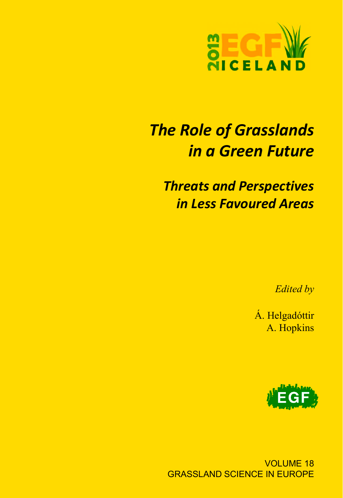

# *The Role of Grasslands in a Green Future*

*Threats and Perspectives in Less Favoured Areas*

*Edited by*

Á. Helgadóttir A. Hopkins



VOLUME 18 GRASSLAND SCIENCE IN EUROPE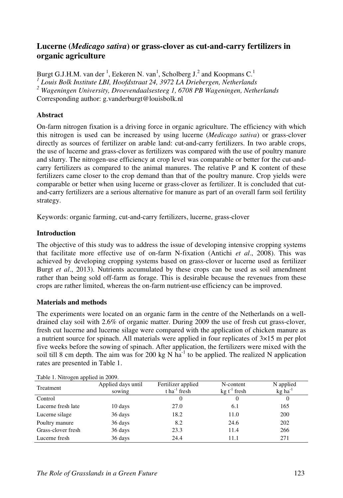## **Lucerne (***Medicago sativa***) or grass-clover as cut-and-carry fertilizers in organic agriculture**

Burgt G.J.H.M. van der <sup>1</sup>, Eekeren N. van<sup>1</sup>, Scholberg J.<sup>2</sup> and Koopmans C.<sup>1</sup> <sup>1</sup> Louis Bolk Institute LBI, Hoofdstraat 24, 3972 LA Driebergen, Netherlands <sup>2</sup> Wageningen University, Droevendaalsesteeg 1, 6708 PB Wageningen, Netherlands Corresponding author: g.vanderburgt@louisbolk.nl

### **Abstract**

On-farm nitrogen fixation is a driving force in organic agriculture. The efficiency with which this nitrogen is used can be increased by using lucerne (*Medicago sativa*) or grass-clover directly as sources of fertilizer on arable land: cut-and-carry fertilizers. In two arable crops, the use of lucerne and grass-clover as fertilizers was compared with the use of poultry manure and slurry. The nitrogen-use efficiency at crop level was comparable or better for the cut-andcarry fertilizers as compared to the animal manures. The relative P and K content of these fertilizers came closer to the crop demand than that of the poultry manure. Crop yields were comparable or better when using lucerne or grass-clover as fertilizer. It is concluded that cutand-carry fertilizers are a serious alternative for manure as part of an overall farm soil fertility strategy.

Keywords: organic farming, cut-and-carry fertilizers, lucerne, grass-clover

### **Introduction**

The objective of this study was to address the issue of developing intensive cropping systems that facilitate more effective use of on-farm N-fixation (Antichi *et al*., 2008). This was achieved by developing cropping systems based on grass-clover or lucerne used as fertilizer Burgt *et al*., 2013). Nutrients accumulated by these crops can be used as soil amendment rather than being sold off-farm as forage. This is desirable because the revenues from these crops are rather limited, whereas the on-farm nutrient-use efficiency can be improved.

#### **Materials and methods**

The experiments were located on an organic farm in the centre of the Netherlands on a welldrained clay soil with 2.6% of organic matter. During 2009 the use of fresh cut grass-clover, fresh cut lucerne and lucerne silage were compared with the application of chicken manure as a nutrient source for spinach. All materials were applied in four replicates of 3×15 m per plot five weeks before the sowing of spinach. After application, the fertilizers were mixed with the soil till 8 cm depth. The aim was for 200 kg N  $ha^{-1}$  to be applied. The realized N application rates are presented in Table 1.

| Table 1. INIHOGEH applied in 2009. |                              |                                                  |                             |                                    |  |  |  |
|------------------------------------|------------------------------|--------------------------------------------------|-----------------------------|------------------------------------|--|--|--|
| Treatment                          | Applied days until<br>sowing | Fertilizer applied<br>$t$ ha <sup>-1</sup> fresh | N-content<br>$kg t-1$ fresh | N applied<br>$kg$ ha <sup>-1</sup> |  |  |  |
| Control                            |                              |                                                  |                             |                                    |  |  |  |
| Lucerne fresh late                 | 10 days                      | 27.0                                             | 6.1                         | 165                                |  |  |  |
| Lucerne silage                     | 36 days                      | 18.2                                             | 11.0                        | 200                                |  |  |  |
| Poultry manure                     | 36 days                      | 8.2                                              | 24.6                        | 202                                |  |  |  |
| Grass-clover fresh                 | 36 days                      | 23.3                                             | 11.4                        | 266                                |  |  |  |
| Lucerne fresh                      | 36 days                      | 24.4                                             | 11.1                        | 271                                |  |  |  |

Table 1. Nitrogen applied in 2009.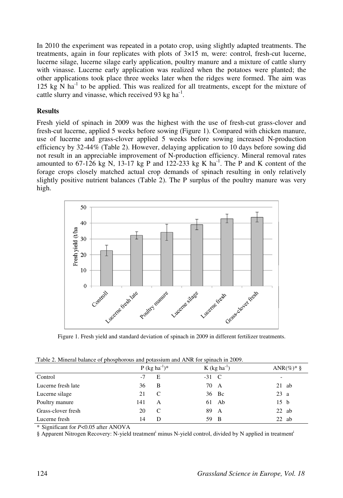In 2010 the experiment was repeated in a potato crop, using slightly adapted treatments. The treatments, again in four replicates with plots of 3×15 m, were: control, fresh-cut lucerne, lucerne silage, lucerne silage early application, poultry manure and a mixture of cattle slurry with vinasse. Lucerne early application was realized when the potatoes were planted; the other applications took place three weeks later when the ridges were formed. The aim was 125 kg N  $\text{ha}^{-1}$  to be applied. This was realized for all treatments, except for the mixture of cattle slurry and vinasse, which received 93 kg ha<sup>-1</sup>.

#### **Results**

Fresh yield of spinach in 2009 was the highest with the use of fresh-cut grass-clover and fresh-cut lucerne, applied 5 weeks before sowing (Figure 1). Compared with chicken manure, use of lucerne and grass-clover applied 5 weeks before sowing increased N-production efficiency by 32-44% (Table 2). However, delaying application to 10 days before sowing did not result in an appreciable improvement of N-production efficiency. Mineral removal rates amounted to  $67-126$  kg N,  $13-17$  kg P and  $122-233$  kg K ha<sup>-1</sup>. The P and K content of the forage crops closely matched actual crop demands of spinach resulting in only relatively slightly positive nutrient balances (Table 2). The P surplus of the poultry manure was very high.



Figure 1. Fresh yield and standard deviation of spinach in 2009 in different fertilizer treatments.

Table 2. Mineral balance of phosphorous and potassium and ANR for spinach in 2009.

|                    |     | P (kg ha <sup>-1</sup> ) <sup>*</sup> |         | $K$ (kg ha <sup>-1</sup> ) |                 | ANR $(\%)^*$ § |
|--------------------|-----|---------------------------------------|---------|----------------------------|-----------------|----------------|
| Control            | -7  | E                                     | $-31$ C |                            | ۰               |                |
| Lucerne fresh late | 36  | B                                     |         | 70 A                       | $21$ ab         |                |
| Lucerne silage     | 21  | C                                     |         | 36 Bc                      | 23a             |                |
| Poultry manure     | 141 | A                                     |         | $61$ Ab                    | 15 <sub>b</sub> |                |
| Grass-clover fresh | 20  | C                                     |         | 89 A                       | $22$ ab         |                |
| Lucerne fresh      | 14  | Ð                                     |         | 59 B                       | $22$ ab         |                |

\* Significant for *P*<0.05 after ANOVA

§ Apparent Nitrogen Recovery: N-yield treatment<sup>i</sup> minus N-yield control, divided by N applied in treatment<sup>i</sup>